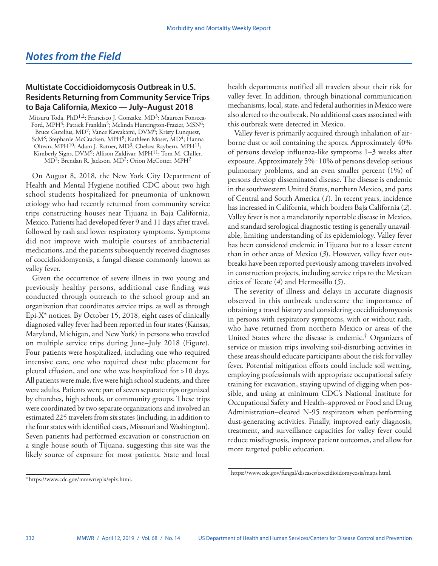## *Notes from the Field*

## **Multistate Coccidioidomycosis Outbreak in U.S. Residents Returning from Community Service Trips to Baja California, Mexico — July–August 2018**

Mitsuru Toda, PhD<sup>1,2</sup>; Francisco J. Gonzalez, MD<sup>3</sup>; Maureen Fonseca-Ford, MPH<sup>4</sup>; Patrick Franklin<sup>5</sup>; Melinda Huntington-Frazier, MSN<sup>6</sup>; Bruce Gutelius, MD<sup>7</sup>; Vance Kawakami, DVM<sup>6</sup>; Kristy Lunquest, ScM<sup>8</sup>; Stephanie McCracken, MPH<sup>9</sup>; Kathleen Moser, MD<sup>4</sup>; Hanna Oltean, MPH<sup>10</sup>; Adam J. Ratner, MD<sup>3</sup>; Chelsea Raybern, MPH<sup>11</sup>; Kimberly Signs, DVM<sup>9</sup>; Allison Zaldivar, MPH<sup>11</sup>; Tom M. Chiller, MD<sup>2</sup>; Brendan R. Jackson, MD<sup>2</sup>; Orion McCotter, MPH<sup>2</sup>

On August 8, 2018, the New York City Department of Health and Mental Hygiene notified CDC about two high school students hospitalized for pneumonia of unknown etiology who had recently returned from community service trips constructing houses near Tijuana in Baja California, Mexico. Patients had developed fever 9 and 11 days after travel, followed by rash and lower respiratory symptoms. Symptoms did not improve with multiple courses of antibacterial medications, and the patients subsequently received diagnoses of coccidioidomycosis, a fungal disease commonly known as valley fever.

Given the occurrence of severe illness in two young and previously healthy persons, additional case finding was conducted through outreach to the school group and an organization that coordinates service trips, as well as through Epi-X\* notices. By October 15, 2018, eight cases of clinically diagnosed valley fever had been reported in four states (Kansas, Maryland, Michigan, and New York) in persons who traveled on multiple service trips during June–July 2018 (Figure). Four patients were hospitalized, including one who required intensive care, one who required chest tube placement for pleural effusion, and one who was hospitalized for >10 days. All patients were male, five were high school students, and three were adults. Patients were part of seven separate trips organized by churches, high schools, or community groups. These trips were coordinated by two separate organizations and involved an estimated 225 travelers from six states (including, in addition to the four states with identified cases, Missouri and Washington). Seven patients had performed excavation or construction on a single house south of Tijuana, suggesting this site was the likely source of exposure for most patients. State and local

health departments notified all travelers about their risk for valley fever. In addition, through binational communication mechanisms, local, state, and federal authorities in Mexico were also alerted to the outbreak. No additional cases associated with this outbreak were detected in Mexico.

Valley fever is primarily acquired through inhalation of airborne dust or soil containing the spores. Approximately 40% of persons develop influenza-like symptoms 1–3 weeks after exposure. Approximately 5%-10% of persons develop serious pulmonary problems, and an even smaller percent (1%) of persons develop disseminated disease. The disease is endemic in the southwestern United States, northern Mexico, and parts of Central and South America (*1*). In recent years, incidence has increased in California, which borders Baja California (*2*). Valley fever is not a mandatorily reportable disease in Mexico, and standard serological diagnostic testing is generally unavailable, limiting understanding of its epidemiology. Valley fever has been considered endemic in Tijuana but to a lesser extent than in other areas of Mexico (*3*). However, valley fever outbreaks have been reported previously among travelers involved in construction projects, including service trips to the Mexican cities of Tecate (*4*) and Hermosillo (*5*).

The severity of illness and delays in accurate diagnosis observed in this outbreak underscore the importance of obtaining a travel history and considering coccidioidomycosis in persons with respiratory symptoms, with or without rash, who have returned from northern Mexico or areas of the United States where the disease is endemic.† Organizers of service or mission trips involving soil-disturbing activities in these areas should educate participants about the risk for valley fever. Potential mitigation efforts could include soil wetting, employing professionals with appropriate occupational safety training for excavation, staying upwind of digging when possible, and using at minimum CDC's National Institute for Occupational Safety and Health–approved or Food and Drug Administration–cleared N-95 respirators when performing dust-generating activities. Finally, improved early diagnosis, treatment, and surveillance capacities for valley fever could reduce misdiagnosis, improve patient outcomes, and allow for more targeted public education.

<sup>\*</sup> [https://www.cdc.gov/mmwr/epix/epix.html.](https://www.cdc.gov/mmwr/epix/epix.html)

<sup>†</sup> <https://www.cdc.gov/fungal/diseases/coccidioidomycosis/maps.html>.